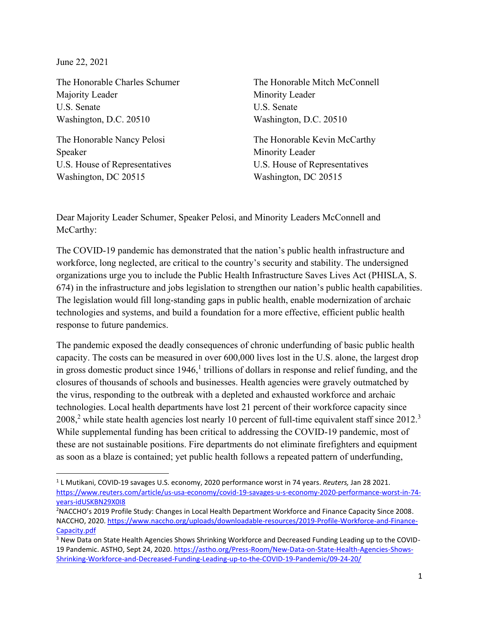June 22, 2021

The Honorable Charles Schumer Majority Leader U.S. Senate Washington, D.C. 20510

The Honorable Nancy Pelosi Speaker U.S. House of Representatives Washington, DC 20515

The Honorable Mitch McConnell Minority Leader U.S. Senate Washington, D.C. 20510

The Honorable Kevin McCarthy Minority Leader U.S. House of Representatives Washington, DC 20515

Dear Majority Leader Schumer, Speaker Pelosi, and Minority Leaders McConnell and McCarthy:

The COVID-19 pandemic has demonstrated that the nation's public health infrastructure and workforce, long neglected, are critical to the country's security and stability. The undersigned organizations urge you to include the Public Health Infrastructure Saves Lives Act (PHISLA, S. 674) in the infrastructure and jobs legislation to strengthen our nation's public health capabilities. The legislation would fill long-standing gaps in public health, enable modernization of archaic technologies and systems, and build a foundation for a more effective, efficient public health response to future pandemics.

The pandemic exposed the deadly consequences of chronic underfunding of basic public health capacity. The costs can be measured in over 600,000 lives lost in the U.S. alone, the largest drop in gross domestic product since  $1946<sup>1</sup>$  trillions of dollars in response and relief funding, and the closures of thousands of schools and businesses. Health agencies were gravely outmatched by the virus, responding to the outbreak with a depleted and exhausted workforce and archaic technologies. Local health departments have lost 21 percent of their workforce capacity since  $2008<sup>2</sup>$  while state health agencies lost nearly 10 percent of full-time equivalent staff since  $2012<sup>3</sup>$ While supplemental funding has been critical to addressing the COVID-19 pandemic, most of these are not sustainable positions. Fire departments do not eliminate firefighters and equipment as soon as a blaze is contained; yet public health follows a repeated pattern of underfunding,

<sup>1</sup> L Mutikani, COVID-19 savages U.S. economy, 2020 performance worst in 74 years. *Reuters,* Jan 28 2021. [https://www.reuters.com/article/us-usa-economy/covid-19-savages-u-s-economy-2020-performance-worst-in-74](https://www.reuters.com/article/us-usa-economy/covid-19-savages-u-s-economy-2020-performance-worst-in-74-years-idUSKBN29X0I8) [years-idUSKBN29X0I8](https://www.reuters.com/article/us-usa-economy/covid-19-savages-u-s-economy-2020-performance-worst-in-74-years-idUSKBN29X0I8) 

<sup>2</sup>NACCHO's 2019 Profile Study: Changes in Local Health Department Workforce and Finance Capacity Since 2008. NACCHO, 2020[. https://www.naccho.org/uploads/downloadable-resources/2019-Profile-Workforce-and-Finance-](https://www.naccho.org/uploads/downloadable-resources/2019-Profile-Workforce-and-Finance-Capacity.pdf)[Capacity.pdf](https://www.naccho.org/uploads/downloadable-resources/2019-Profile-Workforce-and-Finance-Capacity.pdf)

<sup>&</sup>lt;sup>3</sup> New Data on State Health Agencies Shows Shrinking Workforce and Decreased Funding Leading up to the COVID-19 Pandemic. ASTHO, Sept 24, 2020[. https://astho.org/Press-Room/New-Data-on-State-Health-Agencies-Shows-](https://astho.org/Press-Room/New-Data-on-State-Health-Agencies-Shows-Shrinking-Workforce-and-Decreased-Funding-Leading-up-to-the-COVID-19-Pandemic/09-24-20/)[Shrinking-Workforce-and-Decreased-Funding-Leading-up-to-the-COVID-19-Pandemic/09-24-20/](https://astho.org/Press-Room/New-Data-on-State-Health-Agencies-Shows-Shrinking-Workforce-and-Decreased-Funding-Leading-up-to-the-COVID-19-Pandemic/09-24-20/)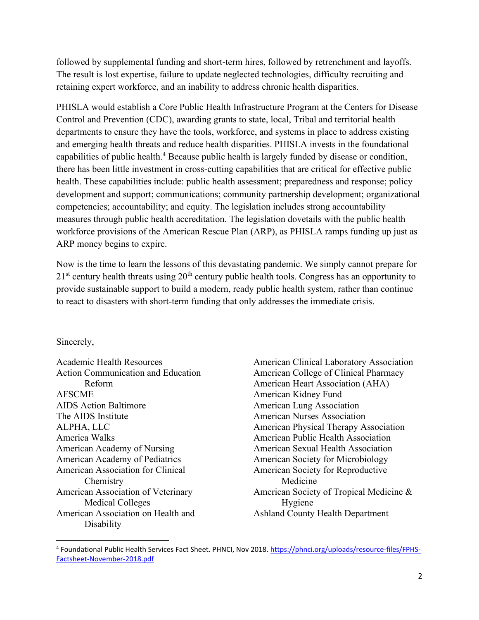followed by supplemental funding and short-term hires, followed by retrenchment and layoffs. The result is lost expertise, failure to update neglected technologies, difficulty recruiting and retaining expert workforce, and an inability to address chronic health disparities.

PHISLA would establish a Core Public Health Infrastructure Program at the Centers for Disease Control and Prevention (CDC), awarding grants to state, local, Tribal and territorial health departments to ensure they have the tools, workforce, and systems in place to address existing and emerging health threats and reduce health disparities. PHISLA invests in the foundational capabilities of public health.<sup>4</sup> Because public health is largely funded by disease or condition, there has been little investment in cross-cutting capabilities that are critical for effective public health. These capabilities include: public health assessment; preparedness and response; policy development and support; communications; community partnership development; organizational competencies; accountability; and equity. The legislation includes strong accountability measures through public health accreditation. The legislation dovetails with the public health workforce provisions of the American Rescue Plan (ARP), as PHISLA ramps funding up just as ARP money begins to expire.

Now is the time to learn the lessons of this devastating pandemic. We simply cannot prepare for  $21<sup>st</sup>$  century health threats using  $20<sup>th</sup>$  century public health tools. Congress has an opportunity to provide sustainable support to build a modern, ready public health system, rather than continue to react to disasters with short-term funding that only addresses the immediate crisis.

## Sincerely,

Academic Health Resources Action Communication and Education Reform AFSCME AIDS Action Baltimore The AIDS Institute ALPHA, LLC America Walks American Academy of Nursing American Academy of Pediatrics American Association for Clinical Chemistry American Association of Veterinary Medical Colleges American Association on Health and **Disability** 

American Clinical Laboratory Association American College of Clinical Pharmacy American Heart Association (AHA) American Kidney Fund American Lung Association American Nurses Association American Physical Therapy Association American Public Health Association American Sexual Health Association American Society for Microbiology American Society for Reproductive Medicine American Society of Tropical Medicine & Hygiene Ashland County Health Department

<sup>&</sup>lt;sup>4</sup> Foundational Public Health Services Fact Sheet. PHNCI, Nov 2018. [https://phnci.org/uploads/resource-files/FPHS-](https://phnci.org/uploads/resource-files/FPHS-Factsheet-November-2018.pdf)[Factsheet-November-2018.pdf](https://phnci.org/uploads/resource-files/FPHS-Factsheet-November-2018.pdf)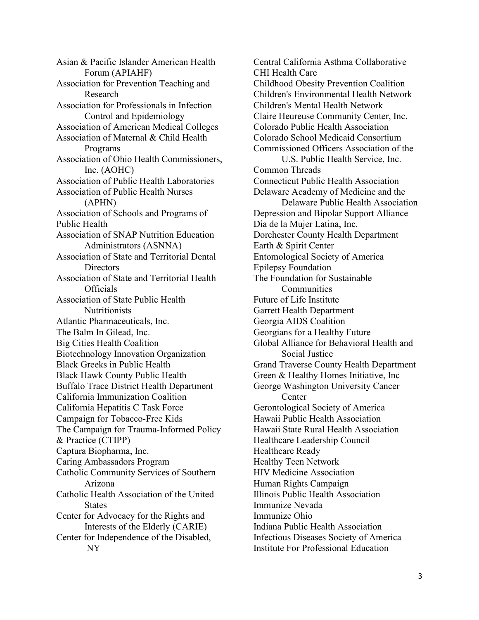Asian & Pacific Islander American Health Forum (APIAHF) Association for Prevention Teaching and Research Association for Professionals in Infection Control and Epidemiology Association of American Medical Colleges Association of Maternal & Child Health Programs Association of Ohio Health Commissioners, Inc. (AOHC) Association of Public Health Laboratories Association of Public Health Nurses (APHN) Association of Schools and Programs of Public Health Association of SNAP Nutrition Education Administrators (ASNNA) Association of State and Territorial Dental **Directors** Association of State and Territorial Health **Officials** Association of State Public Health **Nutritionists** Atlantic Pharmaceuticals, Inc. The Balm In Gilead, Inc. Big Cities Health Coalition Biotechnology Innovation Organization Black Greeks in Public Health Black Hawk County Public Health Buffalo Trace District Health Department California Immunization Coalition California Hepatitis C Task Force Campaign for Tobacco-Free Kids The Campaign for Trauma-Informed Policy & Practice (CTIPP) Captura Biopharma, Inc. Caring Ambassadors Program Catholic Community Services of Southern Arizona Catholic Health Association of the United **States** Center for Advocacy for the Rights and Interests of the Elderly (CARIE) Center for Independence of the Disabled, NY

Central California Asthma Collaborative CHI Health Care Childhood Obesity Prevention Coalition Children's Environmental Health Network Children's Mental Health Network Claire Heureuse Community Center, Inc. Colorado Public Health Association Colorado School Medicaid Consortium Commissioned Officers Association of the U.S. Public Health Service, Inc. Common Threads Connecticut Public Health Association Delaware Academy of Medicine and the Delaware Public Health Association Depression and Bipolar Support Alliance Dia de la Mujer Latina, Inc. Dorchester County Health Department Earth & Spirit Center Entomological Society of America Epilepsy Foundation The Foundation for Sustainable **Communities** Future of Life Institute Garrett Health Department Georgia AIDS Coalition Georgians for a Healthy Future Global Alliance for Behavioral Health and Social Justice Grand Traverse County Health Department Green & Healthy Homes Initiative, Inc George Washington University Cancer **Center** Gerontological Society of America Hawaii Public Health Association Hawaii State Rural Health Association Healthcare Leadership Council Healthcare Ready Healthy Teen Network HIV Medicine Association Human Rights Campaign Illinois Public Health Association Immunize Nevada Immunize Ohio Indiana Public Health Association Infectious Diseases Society of America Institute For Professional Education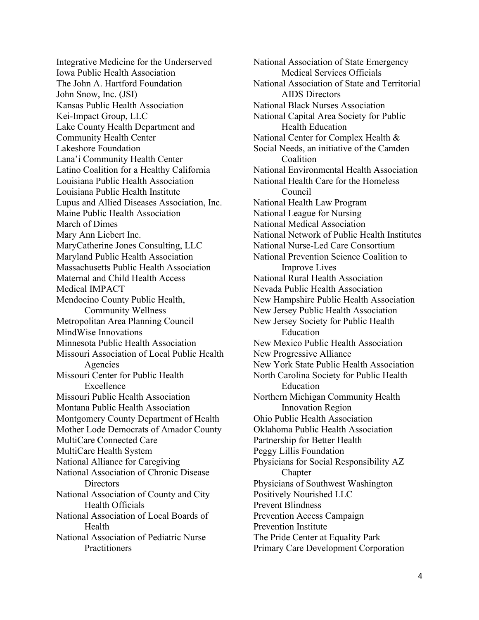Integrative Medicine for the Underserved Iowa Public Health Association The John A. Hartford Foundation John Snow, Inc. (JSI) Kansas Public Health Association Kei-Impact Group, LLC Lake County Health Department and Community Health Center Lakeshore Foundation Lana'i Community Health Center Latino Coalition for a Healthy California Louisiana Public Health Association Louisiana Public Health Institute Lupus and Allied Diseases Association, Inc. Maine Public Health Association March of Dimes Mary Ann Liebert Inc. MaryCatherine Jones Consulting, LLC Maryland Public Health Association Massachusetts Public Health Association Maternal and Child Health Access Medical IMPACT Mendocino County Public Health, Community Wellness Metropolitan Area Planning Council MindWise Innovations Minnesota Public Health Association Missouri Association of Local Public Health Agencies Missouri Center for Public Health Excellence Missouri Public Health Association Montana Public Health Association Montgomery County Department of Health Mother Lode Democrats of Amador County MultiCare Connected Care MultiCare Health System National Alliance for Caregiving National Association of Chronic Disease **Directors** National Association of County and City Health Officials National Association of Local Boards of Health National Association of Pediatric Nurse **Practitioners** 

National Association of State Emergency Medical Services Officials National Association of State and Territorial AIDS Directors National Black Nurses Association National Capital Area Society for Public Health Education National Center for Complex Health & Social Needs, an initiative of the Camden Coalition National Environmental Health Association National Health Care for the Homeless Council National Health Law Program National League for Nursing National Medical Association National Network of Public Health Institutes National Nurse-Led Care Consortium National Prevention Science Coalition to Improve Lives National Rural Health Association Nevada Public Health Association New Hampshire Public Health Association New Jersey Public Health Association New Jersey Society for Public Health Education New Mexico Public Health Association New Progressive Alliance New York State Public Health Association North Carolina Society for Public Health Education Northern Michigan Community Health Innovation Region Ohio Public Health Association Oklahoma Public Health Association Partnership for Better Health Peggy Lillis Foundation Physicians for Social Responsibility AZ Chapter Physicians of Southwest Washington Positively Nourished LLC Prevent Blindness Prevention Access Campaign Prevention Institute The Pride Center at Equality Park Primary Care Development Corporation